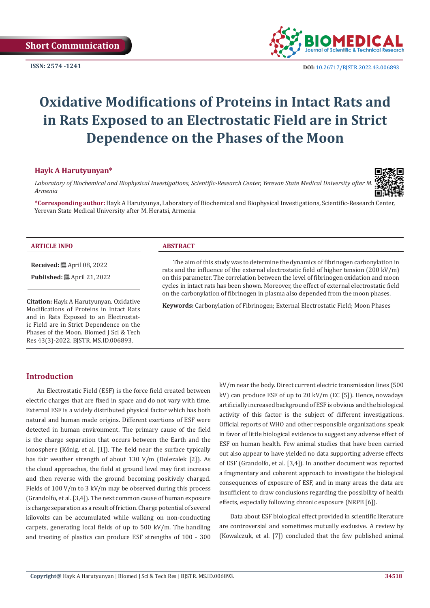

**ISSN:** 2574 -1241 **DOI:** [10.26717/BJSTR.2022.43.006893](https://dx.doi.org/10.26717/BJSTR.2022.43.006893)

# **Oxidative Modifications of Proteins in Intact Rats and in Rats Exposed to an Electrostatic Field are in Strict Dependence on the Phases of the Moon**

## **Hayk A Harutyunyan\***

Laboratory of Biochemical and Biophysical Investigations, Scientific-Research Center, Yerevan State Medical University after M *Armenia*



**\*Corresponding author:** Hayk A Harutyunya, Laboratory of Biochemical and Biophysical Investigations, Scientific-Research Center, Yerevan State Medical University after M. Heratsi, Armenia

#### **ARTICLE INFO ABSTRACT**

**Received:** April 08, 2022

**Published:** ■ April 21, 2022

**Citation:** Hayk A Harutyunyan. Oxidative Modifications of Proteins in Intact Rats and in Rats Exposed to an Electrostatic Field are in Strict Dependence on the Phases of the Moon. Biomed J Sci & Tech Res 43(3)-2022. BJSTR. MS.ID.006893.

The aim of this study was to determine the dynamics of fibrinogen carbonylation in rats and the influence of the external electrostatic field of higher tension (200 kV/m) on this parameter. The correlation between the level of fibrinogen oxidation and moon cycles in intact rats has been shown. Moreover, the effect of external electrostatic field on the carbonylation of fibrinogen in plasma also depended from the moon phases.

**Keywords:** Carbonylation of Fibrinogen; External Electrostatic Field; Moon Phases

# **Introduction**

An Electrostatic Field (ESF) is the force field created between electric charges that are fixed in space and do not vary with time. External ESF is a widely distributed physical factor which has both natural and human made origins. Different exertions of ESF were detected in human environment. The primary cause of the field is the charge separation that occurs between the Earth and the ionosphere (König, et al. [1]). The field near the surface typically has fair weather strength of about 130 V/m (Dolezalek [2]). As the cloud approaches, the field at ground level may first increase and then reverse with the ground becoming positively charged. Fields of 100 V/m to 3 kV/m may be observed during this process (Grandolfo, et al. [3,4]). The next common cause of human exposure is charge separation as a result of friction. Charge potential of several kilovolts can be accumulated while walking on non-conducting carpets, generating local fields of up to 500 kV/m. The handling and treating of plastics can produce ESF strengths of 100 - 300

kV/m near the body. Direct current electric transmission lines (500 kV) can produce ESF of up to 20 kV/m (EC [5]). Hence, nowadays artificially increased background of ESF is obvious and the biological activity of this factor is the subject of different investigations. Official reports of WHO and other responsible organizations speak in favor of little biological evidence to suggest any adverse effect of ESF on human health. Few animal studies that have been carried out also appear to have yielded no data supporting adverse effects of ESF (Grandolfo, et al. [3,4]). In another document was reported a fragmentary and coherent approach to investigate the biological consequences of exposure of ESF, and in many areas the data are insufficient to draw conclusions regarding the possibility of health effects, especially following chronic exposure (NRPB [6]).

Data about ESF biological effect provided in scientific literature are controversial and sometimes mutually exclusive. A review by (Kowalczuk, et al. [7]) concluded that the few published animal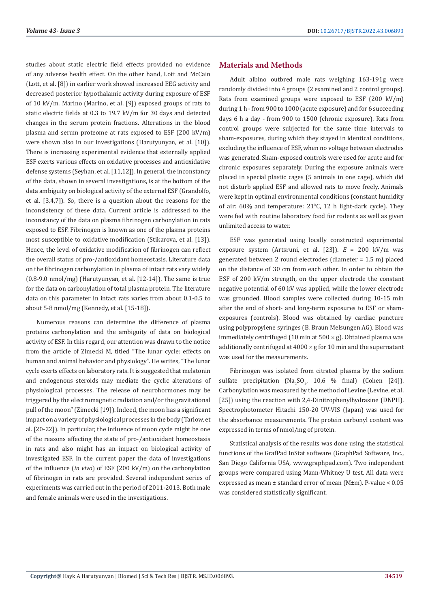studies about static electric field effects provided no evidence of any adverse health effect. On the other hand, Lott and McCain (Lott, et al. [8]) in earlier work showed increased EEG activity and decreased posterior hypothalamic activity during exposure of ESF of 10 kV/m. Marino (Marino, et al. [9]) exposed groups of rats to static electric fields at 0.3 to 19.7 kV/m for 30 days and detected changes in the serum protein fractions. Alterations in the blood plasma and serum proteome at rats exposed to ESF (200 kV/m) were shown also in our investigations (Harutyunyan, et al. [10]). There is increasing experimental evidence that externally applied ESF exerts various effects on oxidative processes and antioxidative defense systems (Seyhan, et al. [11,12]). In general, the inconstancy of the data, shown in several investigations, is at the bottom of the data ambiguity on biological activity of the external ESF (Grandolfo, et al. [3,4,7]). So, there is a question about the reasons for the inconsistency of these data. Current article is addressed to the inconstancy of the data on plasma fibrinogen carbonylation in rats exposed to ESF. Fibrinogen is known as one of the plasma proteins most susceptible to oxidative modification (Stikarova, et al. [13]). Hence, the level of oxidative modification of fibrinogen can reflect the overall status of pro-/antioxidant homeostasis. Literature data on the fibrinogen carbonylation in plasma of intact rats vary widely (0.8-9.0 nmol/mg) (Harutyunyan, et al. [12-14]). The same is true for the data on carbonylation of total plasma protein. The literature data on this parameter in intact rats varies from about 0.1-0.5 to about 5-8 nmol/mg (Kennedy, et al. [15-18]).

Numerous reasons can determine the difference of plasma proteins carbonylation and the ambiguity of data on biological activity of ESF. In this regard, our attention was drawn to the notice from the article of Zimecki M, titled "The lunar cycle: effects on human and animal behavior and physiology". He writes, "The lunar cycle exerts effects on laboratory rats. It is suggested that melatonin and endogenous steroids may mediate the cyclic alterations of physiological processes. The release of neurohormones may be triggered by the electromagnetic radiation and/or the gravitational pull of the moon" (Zimecki [19]). Indeed, the moon has a significant impact on a variety of physiological processes in the body (Tarlow, et al. [20-22]). In particular, the influence of moon cycle might be one of the reasons affecting the state of pro-/antioxidant homeostasis in rats and also might has an impact on biological activity of investigated ESF. In the current paper the data of investigations of the influence (*in vivo*) of ESF (200 kV/m) on the carbonylation of fibrinogen in rats are provided. Several independent series of experiments was carried out in the period of 2011-2013. Both male and female animals were used in the investigations.

#### **Materials and Methods**

Adult albino outbred male rats weighing 163-191g were randomly divided into 4 groups (2 examined and 2 control groups). Rats from examined groups were exposed to ESF (200 kV/m) during 1 h - from 900 to 1000 (acute exposure) and for 6 succeeding days 6 h a day - from 900 to 1500 (chronic exposure). Rats from control groups were subjected for the same time intervals to sham-exposures, during which they stayed in identical conditions, excluding the influence of ESF, when no voltage between electrodes was generated. Sham-exposed controls were used for acute and for chronic exposures separately. During the exposure animals were placed in special plastic cages (5 animals in one cage), which did not disturb applied ESF and allowed rats to move freely. Animals were kept in optimal environmental conditions (constant humidity of air:  $60\%$  and temperature:  $21\degree$ C, 12 h light-dark cycle). They were fed with routine laboratory food for rodents as well as given unlimited access to water.

ESF was generated using locally constructed experimental exposure system (Artsruni, et al. [23]). *E* = 200 kV/m was generated between 2 round electrodes (diameter = 1.5 m) placed on the distance of 30 cm from each other. In order to obtain the ESF of 200 kV/m strength, on the upper electrode the constant negative potential of 60 kV was applied, while the lower electrode was grounded. Blood samples were collected during 10-15 min after the end of short- and long-term exposures to ESF or shamexposures (controls). Blood was obtained by cardiac puncture using polypropylene syringes (B. Braun Melsungen AG). Blood was immediately centrifuged (10 min at  $500 \times g$ ). Obtained plasma was additionally centrifuged at  $4000 \times g$  for 10 min and the supernatant was used for the measurements.

Fibrinogen was isolated from citrated plasma by the sodium sulfate precipitation  $(Na_2SO_4, 10,6 \%)$  final) (Cohen [24]). Carbonylation was measured by the method of Levine (Levine, et al. [25]) using the reaction with 2,4-Dinitrophenylhydrasine (DNPH). Spectrophotometer Hitachi 150-20 UV-VIS (Japan) was used for the absorbance measurements. The protein carbonyl content was expressed in terms of nmol/mg of protein.

Statistical analysis of the results was done using the statistical functions of the GrafPad InStat software (GraphPad Software, Inc., San Diego California USA, www.graphpad.com). Two independent groups were compared using Mann-Whitney U test. All data were expressed as mean ± standard error of mean (M±m). P-value < 0.05 was considered statistically significant.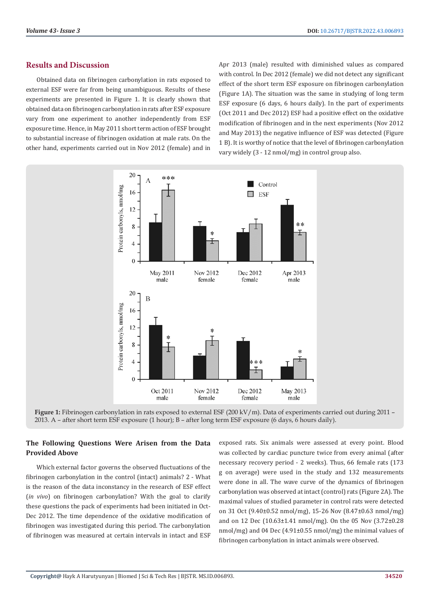### **Results and Discussion**

Obtained data on fibrinogen carbonylation in rats exposed to external ESF were far from being unambiguous. Results of these experiments are presented in Figure 1. It is clearly shown that obtained data on fibrinogen carbonylation in rats after ESF exposure vary from one experiment to another independently from ESF exposure time. Hence, in May 2011 short term action of ESF brought to substantial increase of fibrinogen oxidation at male rats. On the other hand, experiments carried out in Nov 2012 (female) and in

Apr 2013 (male) resulted with diminished values as compared with control. In Dec 2012 (female) we did not detect any significant effect of the short term ESF exposure on fibrinogen carbonylation (Figure 1A). The situation was the same in studying of long term ESF exposure (6 days, 6 hours daily). In the part of experiments (Oct 2011 and Dec 2012) ESF had a positive effect on the oxidative modification of fibrinogen and in the next experiments (Nov 2012 and May 2013) the negative influence of ESF was detected (Figure 1 B). It is worthy of notice that the level of fibrinogen carbonylation vary widely (3 - 12 nmol/mg) in control group also.



**Figure 1:** Fibrinogen carbonylation in rats exposed to external ESF (200 kV/m). Data of experiments carried out during 2011 – 2013. A – after short term ESF exposure (1 hour); B – after long term ESF exposure (6 days, 6 hours daily).

#### **The Following Questions Were Arisen from the Data Provided Above**

Which external factor governs the observed fluctuations of the fibrinogen carbonylation in the control (intact) animals? 2 - What is the reason of the data inconstancy in the research of ESF effect (*in vivo*) on fibrinogen carbonylation? With the goal to clarify these questions the pack of experiments had been initiated in Oct-Dec 2012. The time dependence of the oxidative modification of fibrinogen was investigated during this period. The carbonylation of fibrinogen was measured at certain intervals in intact and ESF

exposed rats. Six animals were assessed at every point. Blood was collected by cardiac puncture twice from every animal (after necessary recovery period - 2 weeks). Thus, 66 female rats (173 g on average) were used in the study and 132 measurements were done in all. The wave curve of the dynamics of fibrinogen carbonylation was observed at intact (control) rats (Figure 2A). The maximal values of studied parameter in control rats were detected on 31 Oct (9.40±0.52 nmol/mg), 15-26 Nov (8.47±0.63 nmol/mg) and on 12 Dec (10.63±1.41 nmol/mg). On the 05 Nov (3.72±0.28 nmol/mg) and 04 Dec (4.91±0.55 nmol/mg) the minimal values of fibrinogen carbonylation in intact animals were observed.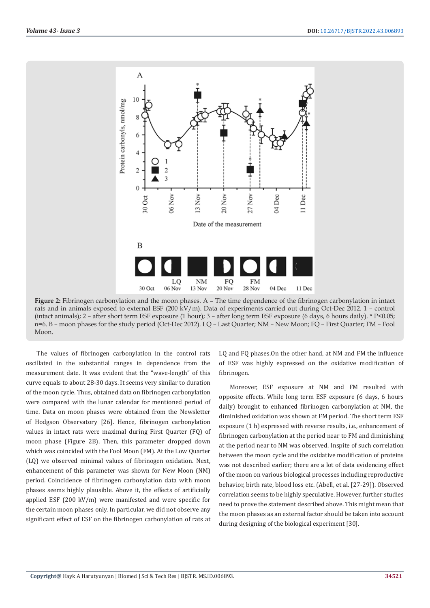

**Figure 2:** Fibrinogen carbonylation and the moon phases. A – The time dependence of the fibrinogen carbonylation in intact rats and in animals exposed to external ESF (200 kV/m). Data of experiments carried out during Oct-Dec 2012. 1 – control (intact animals); 2 – after short term ESF exposure (1 hour); 3 – after long term ESF exposure (6 days, 6 hours daily). \* P<0.05; n=6. B – moon phases for the study period (Oct-Dec 2012). LQ – Last Quarter; NM – New Moon; FQ – First Quarter; FM – Fool Moon.

The values of fibrinogen carbonylation in the control rats oscillated in the substantial ranges in dependence from the measurement date. It was evident that the "wave-length" of this curve equals to about 28-30 days. It seems very similar to duration of the moon cycle. Thus, obtained data on fibrinogen carbonylation were compared with the lunar calendar for mentioned period of time. Data on moon phases were obtained from the Newsletter of Hodgson Observatory [26]. Hence, fibrinogen carbonylation values in intact rats were maximal during First Quarter (FQ) of moon phase (Figure 2B). Then, this parameter dropped down which was coincided with the Fool Moon (FM). At the Low Quarter (LQ) we observed minimal values of fibrinogen oxidation. Next, enhancement of this parameter was shown for New Moon (NM) period. Coincidence of fibrinogen carbonylation data with moon phases seems highly plausible. Above it, the effects of artificially applied ESF (200 kV/m) were manifested and were specific for the certain moon phases only. In particular, we did not observe any significant effect of ESF on the fibrinogen carbonylation of rats at

LQ and FQ phases.On the other hand, at NM and FM the influence of ESF was highly expressed on the oxidative modification of fibrinogen.

Moreover, ESF exposure at NM and FM resulted with opposite effects. While long term ESF exposure (6 days, 6 hours daily) brought to enhanced fibrinogen carbonylation at NM, the diminished oxidation was shown at FM period. The short term ESF exposure (1 h) expressed with reverse results, i.e., enhancement of fibrinogen carbonylation at the period near to FM and diminishing at the period near to NM was observed. Inspite of such correlation between the moon cycle and the oxidative modification of proteins was not described earlier; there are a lot of data evidencing effect of the moon on various biological processes including reproductive behavior, birth rate, blood loss etc. (Abell, et al. [27-29]). Observed correlation seems to be highly speculative. However, further studies need to prove the statement described above. This might mean that the moon phases as an external factor should be taken into account during designing of the biological experiment [30].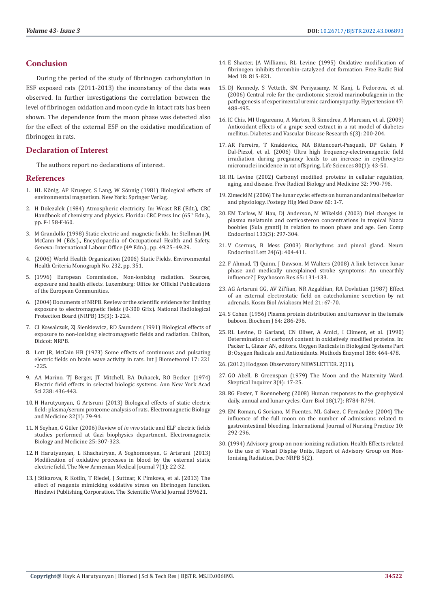#### **Conclusion**

During the period of the study of fibrinogen carbonylation in ESF exposed rats (2011-2013) the inconstancy of the data was observed. In further investigations the correlation between the level of fibrinogen oxidation and moon cycle in intact rats has been shown. The dependence from the moon phase was detected also for the effect of the external ESF on the oxidative modification of fibrinogen in rats.

#### **Declaration of Interest**

The authors report no declarations of interest.

#### **References**

- 1. HL König, AP Krueger, S Lang, W Sönnig (1981) Biological effects of environmental magnetism. New York: Springer Verlag.
- 2. H Dolezalek (1984) Atmospheric electricity. In: Weast RE (Edt.), CRC Handbook of chemistry and physics. Florida: CRC Press Inc (65<sup>th</sup> Edn.)., pp. F-158-F-l60.
- 3. [M Grandolfo \(1998\) Static electric and magnetic fields. In: Stellman JM,](https://www.iloencyclopaedia.org/part-vi-16255/radiation-non-ionizing/item/659-static-electric-and-magnetic-fields)  [McCann M \(Eds.\)., Encyclopaedia of Occupational Health and Safety.](https://www.iloencyclopaedia.org/part-vi-16255/radiation-non-ionizing/item/659-static-electric-and-magnetic-fields)  [Geneva: International Labour Office \(](https://www.iloencyclopaedia.org/part-vi-16255/radiation-non-ionizing/item/659-static-electric-and-magnetic-fields)4<sup>th</sup> Edn.)., pp. 49.25-49.29.
- 4. [\(2006\) World Health Organization \(2006\) Static Fields. Environmental](https://www.who.int/publications/i/item/9241572329)  [Health Criteria Monograph No. 232, pp. 351.](https://www.who.int/publications/i/item/9241572329)
- 5. (1996) European Commission, Non-ionizing radiation. Sources, exposure and health effects. Luxemburg: Office for Official Publications of the European Communities.
- 6. [\(2004\) Documents of NRPB. Review or the scientific evidence for limiting](https://www.emf-portal.org/en/article/10657)  [exposure to electromagnetic fields \(0-300 GHz\). National Radiological](https://www.emf-portal.org/en/article/10657)  [Protection Board \(NRPB\) 15\(3\): 1-224.](https://www.emf-portal.org/en/article/10657)
- 7. CI Kowalczuk, ZJ Sienkiewicz, RD Saunders (1991) Biological effects of exposure to non-ionising electromagnetic fields and radiation. Chilton, Didcot: NRPB.
- 8. [Lott JR, McCain HB \(1973\) Some effects of continuous and pulsating](https://pubmed.ncbi.nlm.nih.gov/4756235/)  [electric fields on brain wave activity in rats. Int J Biometeorol 17: 221](https://pubmed.ncbi.nlm.nih.gov/4756235/)  [-225.](https://pubmed.ncbi.nlm.nih.gov/4756235/)
- 9. [AA Marino, TJ Berger, JT Mitchell, BA Duhacek, RO Becker \(1974\)](https://pubmed.ncbi.nlm.nih.gov/4531272/)  [Electric field effects in selected biologic systems. Ann New York Acad](https://pubmed.ncbi.nlm.nih.gov/4531272/)  [Sci 238: 436-443.](https://pubmed.ncbi.nlm.nih.gov/4531272/)
- 10. [H Harutyunyan, G Artsruni \(2013\) Biological effects of static electric](https://pubmed.ncbi.nlm.nih.gov/23046167/)  [field: plasma/serum proteome analysis of rats. Electromagnetic Biology](https://pubmed.ncbi.nlm.nih.gov/23046167/)  [and Medicine 32\(1\): 79-94.](https://pubmed.ncbi.nlm.nih.gov/23046167/)
- 11. N Seyhan, G Güler (2006) Review of *in vivo* [static and ELF electric fields](https://pubmed.ncbi.nlm.nih.gov/17178589/)  [studies performed at Gazi biophysics department. Electromagnetic](https://pubmed.ncbi.nlm.nih.gov/17178589/)  [Biology and Medicine 25: 307-323.](https://pubmed.ncbi.nlm.nih.gov/17178589/)
- 12. H Harutyunyan, L Khachatryan, A Soghomonyan, G Artsruni (2013) Modification of oxidative processes in blood by the external static electric field. The New Armenian Medical Journal 7(1): 22-32.
- 13. [J Stikarova, R Kotlin, T Riedel, J Suttnar, K Pimkova, et al. \(2013\) The](https://www.hindawi.com/journals/tswj/2013/359621/)  [effect of reagents mimicking oxidative stress on fibrinogen function.](https://www.hindawi.com/journals/tswj/2013/359621/)  [Hindawi Publishing Corporation. The Scientific World Journal 359621.](https://www.hindawi.com/journals/tswj/2013/359621/)
- 14. [E Shacter, JA Williams, RL Levine \(1995\) Oxidative modification of](https://pubmed.ncbi.nlm.nih.gov/7750804/) [fibrinogen inhibits thrombin-catalyzed clot formation. Free Radic Biol](https://pubmed.ncbi.nlm.nih.gov/7750804/) [Med 18: 815-821.](https://pubmed.ncbi.nlm.nih.gov/7750804/)
- 15. [DJ Kennedy, S Vetteth, SM Periyasamy, M Kanj, L Fedorova, et al.](https://pubmed.ncbi.nlm.nih.gov/16446397/) [\(2006\) Central role for the cardiotonic steroid marinobufagenin in the](https://pubmed.ncbi.nlm.nih.gov/16446397/) [pathogenesis of experimental uremic cardiomyopathy. Hypertension 47:](https://pubmed.ncbi.nlm.nih.gov/16446397/) [488-495.](https://pubmed.ncbi.nlm.nih.gov/16446397/)
- 16. IC Chis, MI Ungureanu, A Marton, R Simedrea, A Muresan, et al. (2009) Antioxidant effects of a grape seed extract in a rat model of diabetes mellitus. Diabetes and Vascular Disease Research 6(3): 200-204.
- 17. [AR Ferreira, T Knakievicz, MA Bittencourt-Pasquali, DP Gelain, F](https://pubmed.ncbi.nlm.nih.gov/16978664/) [Dal-Pizzol, et al. \(2006\) Ultra high frequency-electromagnetic field](https://pubmed.ncbi.nlm.nih.gov/16978664/) [irradiation during pregnancy leads to an increase in erythrocytes](https://pubmed.ncbi.nlm.nih.gov/16978664/) [micronuclei incidence in rat offspring. Life Sciences 80\(1\): 43-50.](https://pubmed.ncbi.nlm.nih.gov/16978664/)
- 18. [RL Levine \(2002\) Carbonyl modified proteins in cellular regulation,](https://pubmed.ncbi.nlm.nih.gov/11978480/) [aging, and disease. Free Radical Biology and Medicine 32: 790-796.](https://pubmed.ncbi.nlm.nih.gov/11978480/)
- 19. Zimecki M (2006) The lunar cycle: effects on human and animal behavior and physiology. Postepy Hig Med Dosw 60: 1-7.
- 20. [EM Tarlow, M Hau, DJ Anderson, M Wikelski \(2003\) Diel changes in](https://pubmed.ncbi.nlm.nih.gov/12957473/) [plasma melatonin and corticosteron concentrations in tropical Nazca](https://pubmed.ncbi.nlm.nih.gov/12957473/) [boobies \(Sula granti\) in relation to moon phase and age. Gen Comp](https://pubmed.ncbi.nlm.nih.gov/12957473/) [Endocrinol 133\(3\): 297-304.](https://pubmed.ncbi.nlm.nih.gov/12957473/)
- 21. [V Csernus, B Mess \(2003\) Biorhythms and pineal gland. Neuro](https://pubmed.ncbi.nlm.nih.gov/15073565/) [Endocrinol Lett 24\(6\): 404-411.](https://pubmed.ncbi.nlm.nih.gov/15073565/)
- 22. [F Ahmad, TJ Quinn, J Dawson, M Walters \(2008\) A link between lunar](https://pubmed.ncbi.nlm.nih.gov/18655857/) [phase and medically unexplained stroke symptoms: An unearthly](https://pubmed.ncbi.nlm.nih.gov/18655857/) [influence? J Psychosom Res 65: 131-133.](https://pubmed.ncbi.nlm.nih.gov/18655857/)
- 23. [AG Artsruni GG, AV Zil'fian, NR Azgaldian, RA Dovlatian \(1987\) Effect](https://pubmed.ncbi.nlm.nih.gov/3125379/) [of an external electrostatic field on catecholamine secretion by rat](https://pubmed.ncbi.nlm.nih.gov/3125379/) [adrenals. Kosm Biol Aviakosm Med 21: 67-70.](https://pubmed.ncbi.nlm.nih.gov/3125379/)
- 24. [S Cohen \(1956\) Plasma protein distribution and turnover in the female](https://pubmed.ncbi.nlm.nih.gov/13363839/) [baboon. Biochem J 64: 286-296.](https://pubmed.ncbi.nlm.nih.gov/13363839/)
- 25. [RL Levine, D Garland, CN Oliver, A Amici, I Climent, et al. \(1990\)](https://www.sciencedirect.com/science/article/abs/pii/007668799086141H) [Determination of carbonyl content in oxidatively modified proteins. In:](https://www.sciencedirect.com/science/article/abs/pii/007668799086141H) [Packer L, Glazer AN, editors. Oxygen Radicals in Biological Systems Part](https://www.sciencedirect.com/science/article/abs/pii/007668799086141H) [B: Oxygen Radicals and Antioxidants. Methods Enzymol 186: 464-478.](https://www.sciencedirect.com/science/article/abs/pii/007668799086141H)
- 26.(2012) Hodgson Observatory NEWSLETTER. 2(11).
- 27. [GO Abell, B Greenspan \(1979\) The Moon and the Maternity Ward.](https://skepticalinquirer.org/1979/07/the-moon-and-the-maternity-ward/) [Skeptical Inquirer 3\(4\): 17-25.](https://skepticalinquirer.org/1979/07/the-moon-and-the-maternity-ward/)
- 28. [RG Foster, T Roenneberg \(2008\) Human responses to the geophysical](https://pubmed.ncbi.nlm.nih.gov/18786384/) [daily, annual and lunar cycles. Curr Biol 18\(17\): R784-R794.](https://pubmed.ncbi.nlm.nih.gov/18786384/)
- 29. EM Roman, G Soriano, M Fuentes, ML Gálvez, C Fernández (2004) The influence of the full moon on the number of admissions related to gastrointestinal bleeding. International Journal of Nursing Practice 10: 292-296.
- 30.(1994) Advisory group on non-ionizing radiation. Health Effects related to the use of Visual Display Units, Report of Advisory Group on Non-Ionising Radiation, Doc NRPB 5(2).